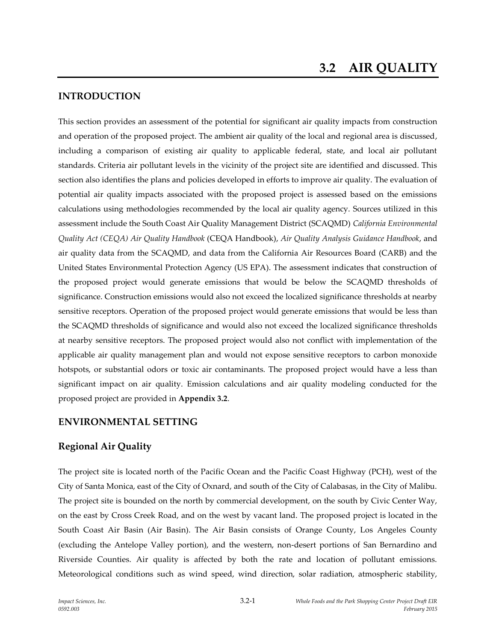# **INTRODUCTION**

This section provides an assessment of the potential for significant air quality impacts from construction and operation of the proposed project. The ambient air quality of the local and regional area is discussed, including a comparison of existing air quality to applicable federal, state, and local air pollutant standards. Criteria air pollutant levels in the vicinity of the project site are identified and discussed. This section also identifies the plans and policies developed in efforts to improve air quality. The evaluation of potential air quality impacts associated with the proposed project is assessed based on the emissions calculations using methodologies recommended by the local air quality agency. Sources utilized in this assessment include the South Coast Air Quality Management District (SCAQMD) *California Environmental Quality Act (CEQA) Air Quality Handbook* (CEQA Handbook), *Air Quality Analysis Guidance Handbook*, and air quality data from the SCAQMD, and data from the California Air Resources Board (CARB) and the United States Environmental Protection Agency (US EPA). The assessment indicates that construction of the proposed project would generate emissions that would be below the SCAQMD thresholds of significance. Construction emissions would also not exceed the localized significance thresholds at nearby sensitive receptors. Operation of the proposed project would generate emissions that would be less than the SCAQMD thresholds of significance and would also not exceed the localized significance thresholds at nearby sensitive receptors. The proposed project would also not conflict with implementation of the applicable air quality management plan and would not expose sensitive receptors to carbon monoxide hotspots, or substantial odors or toxic air contaminants. The proposed project would have a less than significant impact on air quality. Emission calculations and air quality modeling conducted for the proposed project are provided in **Appendix 3.2**.

# **ENVIRONMENTAL SETTING**

# **Regional Air Quality**

The project site is located north of the Pacific Ocean and the Pacific Coast Highway (PCH), west of the City of Santa Monica, east of the City of Oxnard, and south of the City of Calabasas, in the City of Malibu. The project site is bounded on the north by commercial development, on the south by Civic Center Way, on the east by Cross Creek Road, and on the west by vacant land. The proposed project is located in the South Coast Air Basin (Air Basin). The Air Basin consists of Orange County, Los Angeles County (excluding the Antelope Valley portion), and the western, non-desert portions of San Bernardino and Riverside Counties. Air quality is affected by both the rate and location of pollutant emissions. Meteorological conditions such as wind speed, wind direction, solar radiation, atmospheric stability,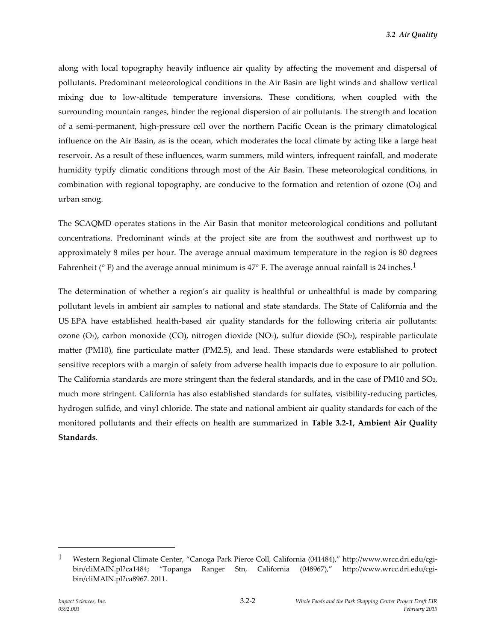along with local topography heavily influence air quality by affecting the movement and dispersal of pollutants. Predominant meteorological conditions in the Air Basin are light winds and shallow vertical mixing due to low-altitude temperature inversions. These conditions, when coupled with the surrounding mountain ranges, hinder the regional dispersion of air pollutants. The strength and location of a semi-permanent, high-pressure cell over the northern Pacific Ocean is the primary climatological influence on the Air Basin, as is the ocean, which moderates the local climate by acting like a large heat reservoir. As a result of these influences, warm summers, mild winters, infrequent rainfall, and moderate humidity typify climatic conditions through most of the Air Basin. These meteorological conditions, in combination with regional topography, are conducive to the formation and retention of ozone  $(O<sub>3</sub>)$  and urban smog.

The SCAQMD operates stations in the Air Basin that monitor meteorological conditions and pollutant concentrations. Predominant winds at the project site are from the southwest and northwest up to approximately 8 miles per hour. The average annual maximum temperature in the region is 80 degrees Fahrenheit ( $\degree$  F) and the average annual minimum is 47 $\degree$  F. The average annual rainfall is 24 inches.<sup>1</sup>

The determination of whether a region's air quality is healthful or unhealthful is made by comparing pollutant levels in ambient air samples to national and state standards. The State of California and the US EPA have established health-based air quality standards for the following criteria air pollutants: ozone (O3), carbon monoxide (CO), nitrogen dioxide (NO2), sulfur dioxide (SO2), respirable particulate matter (PM10), fine particulate matter (PM2.5), and lead. These standards were established to protect sensitive receptors with a margin of safety from adverse health impacts due to exposure to air pollution. The California standards are more stringent than the federal standards, and in the case of PM10 and  $SO<sub>2</sub>$ , much more stringent. California has also established standards for sulfates, visibility-reducing particles, hydrogen sulfide, and vinyl chloride. The state and national ambient air quality standards for each of the monitored pollutants and their effects on health are summarized in **Table 3.2-1, Ambient Air Quality Standards**.

1

<sup>1</sup> Western Regional Climate Center, "Canoga Park Pierce Coll, California (041484)," http://www.wrcc.dri.edu/cgibin/cliMAIN.pl?ca1484; "Topanga Ranger Stn, California (048967)," http://www.wrcc.dri.edu/cgibin/cliMAIN.pl?ca8967. 2011.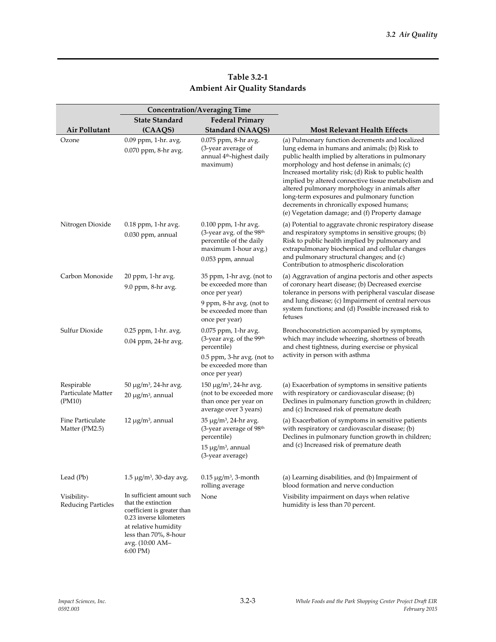| <b>Table 3.2-1</b>                   |  |
|--------------------------------------|--|
| <b>Ambient Air Quality Standards</b> |  |

|                                            |                                                                                                                                                                                            | <b>Concentration/Averaging Time</b>                                                                                      |                                                                                                                                                                                                                                                                                                                                                                                                                                                                                                                  |
|--------------------------------------------|--------------------------------------------------------------------------------------------------------------------------------------------------------------------------------------------|--------------------------------------------------------------------------------------------------------------------------|------------------------------------------------------------------------------------------------------------------------------------------------------------------------------------------------------------------------------------------------------------------------------------------------------------------------------------------------------------------------------------------------------------------------------------------------------------------------------------------------------------------|
|                                            | <b>State Standard</b>                                                                                                                                                                      | <b>Federal Primary</b>                                                                                                   |                                                                                                                                                                                                                                                                                                                                                                                                                                                                                                                  |
| Air Pollutant                              | (CAAQS)                                                                                                                                                                                    | <b>Standard (NAAQS)</b>                                                                                                  | <b>Most Relevant Health Effects</b>                                                                                                                                                                                                                                                                                                                                                                                                                                                                              |
| Ozone                                      | 0.09 ppm, 1-hr. avg.<br>0.070 ppm, 8-hr avg.                                                                                                                                               | 0.075 ppm, 8-hr avg.<br>(3-year average of<br>annual 4 <sup>th</sup> -highest daily<br>maximum)                          | (a) Pulmonary function decrements and localized<br>lung edema in humans and animals; (b) Risk to<br>public health implied by alterations in pulmonary<br>morphology and host defense in animals; (c)<br>Increased mortality risk; (d) Risk to public health<br>implied by altered connective tissue metabolism and<br>altered pulmonary morphology in animals after<br>long-term exposures and pulmonary function<br>decrements in chronically exposed humans;<br>(e) Vegetation damage; and (f) Property damage |
| Nitrogen Dioxide                           | 0.18 ppm, 1-hr avg.<br>0.030 ppm, annual                                                                                                                                                   | 0.100 ppm, 1-hr avg.<br>(3-year avg. of the 98th<br>percentile of the daily<br>maximum 1-hour avg.)<br>0.053 ppm, annual | (a) Potential to aggravate chronic respiratory disease<br>and respiratory symptoms in sensitive groups; (b)<br>Risk to public health implied by pulmonary and<br>extrapulmonary biochemical and cellular changes<br>and pulmonary structural changes; and (c)<br>Contribution to atmospheric discoloration                                                                                                                                                                                                       |
| Carbon Monoxide                            | 20 ppm, 1-hr avg.<br>9.0 ppm, 8-hr avg.                                                                                                                                                    | 35 ppm, 1-hr avg. (not to<br>be exceeded more than<br>once per year)                                                     | (a) Aggravation of angina pectoris and other aspects<br>of coronary heart disease; (b) Decreased exercise<br>tolerance in persons with peripheral vascular disease                                                                                                                                                                                                                                                                                                                                               |
|                                            |                                                                                                                                                                                            | 9 ppm, 8-hr avg. (not to<br>be exceeded more than<br>once per year)                                                      | and lung disease; (c) Impairment of central nervous<br>system functions; and (d) Possible increased risk to<br>fetuses                                                                                                                                                                                                                                                                                                                                                                                           |
| Sulfur Dioxide                             | $0.25$ ppm, 1-hr. avg.<br>0.04 ppm, 24-hr avg.                                                                                                                                             | 0.075 ppm, 1-hr avg.<br>(3-year avg. of the 99th<br>percentile)                                                          | Bronchoconstriction accompanied by symptoms,<br>which may include wheezing, shortness of breath<br>and chest tightness, during exercise or physical                                                                                                                                                                                                                                                                                                                                                              |
|                                            |                                                                                                                                                                                            | 0.5 ppm, 3-hr avg. (not to<br>be exceeded more than<br>once per year)                                                    | activity in person with asthma                                                                                                                                                                                                                                                                                                                                                                                                                                                                                   |
| Respirable<br>Particulate Matter<br>(PM10) | $50 \mu g/m^3$ , 24-hr avg.<br>20 µg/m <sup>3</sup> , annual                                                                                                                               | $150 \mu g/m^3$ , 24-hr avg.<br>(not to be exceeded more<br>than once per year on<br>average over 3 years)               | (a) Exacerbation of symptoms in sensitive patients<br>with respiratory or cardiovascular disease; (b)<br>Declines in pulmonary function growth in children;<br>and (c) Increased risk of premature death                                                                                                                                                                                                                                                                                                         |
| Fine Particulate<br>Matter (PM2.5)         | $12 \mu g/m^3$ , annual                                                                                                                                                                    | $35 \mu g/m^3$ , 24-hr avg.<br>(3-year average of 98th<br>percentile)<br>$15 \mu g/m^3$ , annual                         | (a) Exacerbation of symptoms in sensitive patients<br>with respiratory or cardiovascular disease; (b)<br>Declines in pulmonary function growth in children;<br>and (c) Increased risk of premature death                                                                                                                                                                                                                                                                                                         |
|                                            |                                                                                                                                                                                            | (3-year average)                                                                                                         |                                                                                                                                                                                                                                                                                                                                                                                                                                                                                                                  |
| Lead (Pb)                                  | $1.5 \mu g/m^3$ , 30-day avg.                                                                                                                                                              | $0.15 \mu g/m^3$ , 3-month<br>rolling average                                                                            | (a) Learning disabilities, and (b) Impairment of<br>blood formation and nerve conduction                                                                                                                                                                                                                                                                                                                                                                                                                         |
| Visibility-<br>Reducing Particles          | In sufficient amount such<br>that the extinction<br>coefficient is greater than<br>0.23 inverse kilometers<br>at relative humidity<br>less than 70%, 8-hour<br>avg. (10:00 AM-<br>6:00 PM) | None                                                                                                                     | Visibility impairment on days when relative<br>humidity is less than 70 percent.                                                                                                                                                                                                                                                                                                                                                                                                                                 |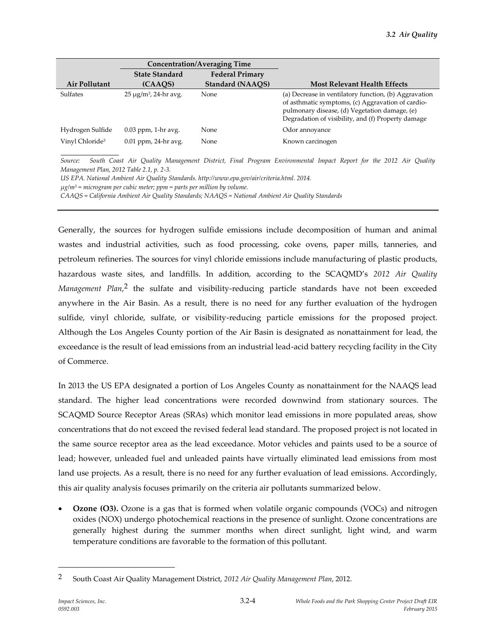|                             |                             | <b>Concentration/Averaging Time</b> |                                                                                                                                                                                                                   |
|-----------------------------|-----------------------------|-------------------------------------|-------------------------------------------------------------------------------------------------------------------------------------------------------------------------------------------------------------------|
|                             | <b>State Standard</b>       | <b>Federal Primary</b>              |                                                                                                                                                                                                                   |
| Air Pollutant               | (CAAQS)                     | Standard (NAAQS)                    | <b>Most Relevant Health Effects</b>                                                                                                                                                                               |
| <b>Sulfates</b>             | $25 \mu g/m^3$ , 24-hr avg. | None                                | (a) Decrease in ventilatory function, (b) Aggravation<br>of asthmatic symptoms, (c) Aggravation of cardio-<br>pulmonary disease, (d) Vegetation damage, (e)<br>Degradation of visibility, and (f) Property damage |
| Hydrogen Sulfide            | $0.03$ ppm, 1-hr avg.       | None                                | Odor annoyance                                                                                                                                                                                                    |
| Vinyl Chloride <sup>3</sup> | $0.01$ ppm, 24-hr avg.      | None                                | Known carcinogen                                                                                                                                                                                                  |

*Source: South Coast Air Quality Management District, Final Program Environmental Impact Report for the 2012 Air Quality Management Plan, 2012 Table 2.1, p. 2-3.*

*US EPA. National Ambient Air Quality Standards. http://www.epa.gov/air/criteria.html. 2014.*

*µg/m<sup>3</sup> = microgram per cubic meter; ppm = parts per million by volume.*

*CAAQS = California Ambient Air Quality Standards; NAAQS = National Ambient Air Quality Standards*

Generally, the sources for hydrogen sulfide emissions include decomposition of human and animal wastes and industrial activities, such as food processing, coke ovens, paper mills, tanneries, and petroleum refineries. The sources for vinyl chloride emissions include manufacturing of plastic products, hazardous waste sites, and landfills. In addition, according to the SCAQMD's *2012 Air Quality Management Plan*, 2 the sulfate and visibility-reducing particle standards have not been exceeded anywhere in the Air Basin. As a result, there is no need for any further evaluation of the hydrogen sulfide, vinyl chloride, sulfate, or visibility-reducing particle emissions for the proposed project. Although the Los Angeles County portion of the Air Basin is designated as nonattainment for lead, the exceedance is the result of lead emissions from an industrial lead-acid battery recycling facility in the City of Commerce.

In 2013 the US EPA designated a portion of Los Angeles County as nonattainment for the NAAQS lead standard. The higher lead concentrations were recorded downwind from stationary sources. The SCAQMD Source Receptor Areas (SRAs) which monitor lead emissions in more populated areas, show concentrations that do not exceed the revised federal lead standard. The proposed project is not located in the same source receptor area as the lead exceedance. Motor vehicles and paints used to be a source of lead; however, unleaded fuel and unleaded paints have virtually eliminated lead emissions from most land use projects. As a result, there is no need for any further evaluation of lead emissions. Accordingly, this air quality analysis focuses primarily on the criteria air pollutants summarized below.

 **Ozone (O3).** Ozone is a gas that is formed when volatile organic compounds (VOCs) and nitrogen oxides (NOX) undergo photochemical reactions in the presence of sunlight. Ozone concentrations are generally highest during the summer months when direct sunlight, light wind, and warm temperature conditions are favorable to the formation of this pollutant.

<sup>2</sup> South Coast Air Quality Management District, *2012 Air Quality Management Plan*, 2012.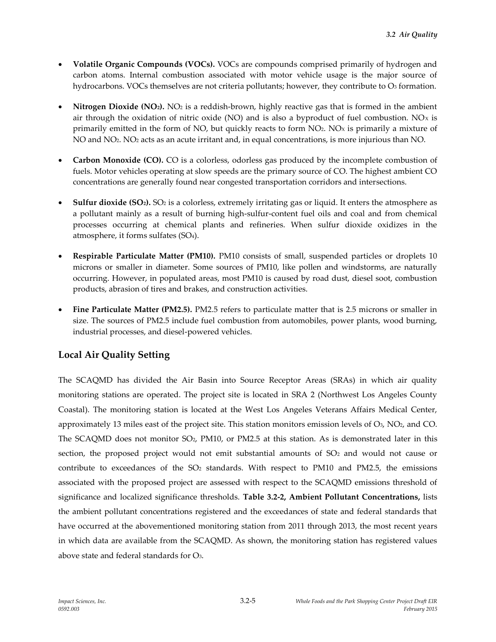- **Volatile Organic Compounds (VOCs).** VOCs are compounds comprised primarily of hydrogen and carbon atoms. Internal combustion associated with motor vehicle usage is the major source of hydrocarbons. VOCs themselves are not criteria pollutants; however, they contribute to  $O<sub>3</sub>$  formation.
- **Nitrogen Dioxide (NO2).** NO<sup>2</sup> is a reddish-brown, highly reactive gas that is formed in the ambient air through the oxidation of nitric oxide (NO) and is also a byproduct of fuel combustion. NO $x$  is primarily emitted in the form of NO, but quickly reacts to form NO<sub>2</sub>. NO<sub>x</sub> is primarily a mixture of NO and NO<sub>2</sub>. NO<sub>2</sub> acts as an acute irritant and, in equal concentrations, is more injurious than NO.
- **Carbon Monoxide (CO).** CO is a colorless, odorless gas produced by the incomplete combustion of fuels. Motor vehicles operating at slow speeds are the primary source of CO. The highest ambient CO concentrations are generally found near congested transportation corridors and intersections.
- **Sulfur dioxide (SO2).** SO<sup>2</sup> is a colorless, extremely irritating gas or liquid. It enters the atmosphere as a pollutant mainly as a result of burning high-sulfur-content fuel oils and coal and from chemical processes occurring at chemical plants and refineries. When sulfur dioxide oxidizes in the atmosphere, it forms sulfates (SO4).
- **Respirable Particulate Matter (PM10).** PM10 consists of small, suspended particles or droplets 10 microns or smaller in diameter. Some sources of PM10, like pollen and windstorms, are naturally occurring. However, in populated areas, most PM10 is caused by road dust, diesel soot, combustion products, abrasion of tires and brakes, and construction activities.
- **Fine Particulate Matter (PM2.5).** PM2.5 refers to particulate matter that is 2.5 microns or smaller in size. The sources of PM2.5 include fuel combustion from automobiles, power plants, wood burning, industrial processes, and diesel-powered vehicles.

# **Local Air Quality Setting**

The SCAQMD has divided the Air Basin into Source Receptor Areas (SRAs) in which air quality monitoring stations are operated. The project site is located in SRA 2 (Northwest Los Angeles County Coastal). The monitoring station is located at the West Los Angeles Veterans Affairs Medical Center, approximately 13 miles east of the project site. This station monitors emission levels of  $O_3$ ,  $NO_2$ , and  $CO$ . The SCAQMD does not monitor SO2, PM10, or PM2.5 at this station. As is demonstrated later in this section, the proposed project would not emit substantial amounts of  $SO<sub>2</sub>$  and would not cause or contribute to exceedances of the  $SO<sub>2</sub>$  standards. With respect to PM10 and PM2.5, the emissions associated with the proposed project are assessed with respect to the SCAQMD emissions threshold of significance and localized significance thresholds. **Table 3.2-2, Ambient Pollutant Concentrations,** lists the ambient pollutant concentrations registered and the exceedances of state and federal standards that have occurred at the abovementioned monitoring station from 2011 through 2013, the most recent years in which data are available from the SCAQMD. As shown, the monitoring station has registered values above state and federal standards for O3.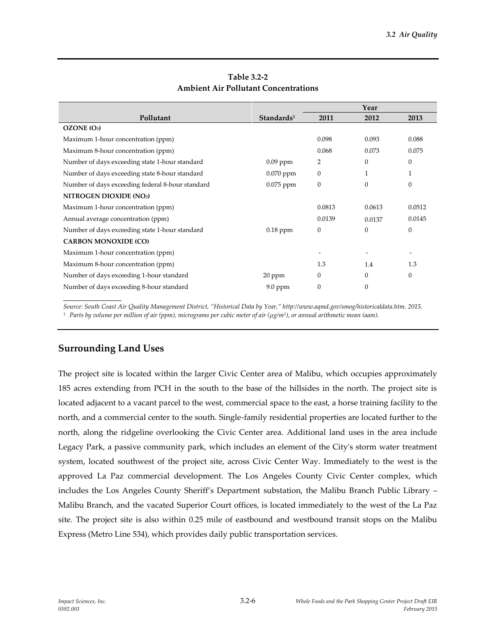|                                                  |                        |                  | Year             |                          |
|--------------------------------------------------|------------------------|------------------|------------------|--------------------------|
| Pollutant                                        | Standards <sup>1</sup> | 2011             | 2012             | 2013                     |
| OZONE (O <sub>3</sub> )                          |                        |                  |                  |                          |
| Maximum 1-hour concentration (ppm)               |                        | 0.098            | 0.093            | 0.088                    |
| Maximum 8-hour concentration (ppm)               |                        | 0.068            | 0.073            | 0.075                    |
| Number of days exceeding state 1-hour standard   | $0.09$ ppm             | 2                | $\theta$         | $\mathbf{0}$             |
| Number of days exceeding state 8-hour standard   | $0.070$ ppm            | $\theta$         | 1                | 1                        |
| Number of days exceeding federal 8-hour standard | 0.075 ppm              | $\boldsymbol{0}$ | $\theta$         | $\mathbf{0}$             |
| NITROGEN DIOXIDE (NO2)                           |                        |                  |                  |                          |
| Maximum 1-hour concentration (ppm)               |                        | 0.0813           | 0.0613           | 0.0512                   |
| Annual average concentration (ppm)               |                        | 0.0139           | 0.0137           | 0.0145                   |
| Number of days exceeding state 1-hour standard   | $0.18$ ppm             | $\mathbf{0}$     | $\boldsymbol{0}$ | $\boldsymbol{0}$         |
| <b>CARBON MONOXIDE (CO)</b>                      |                        |                  |                  |                          |
| Maximum 1-hour concentration (ppm)               |                        |                  |                  | $\overline{\phantom{a}}$ |
| Maximum 8-hour concentration (ppm)               |                        | 1.3              | 1.4              | 1.3                      |
| Number of days exceeding 1-hour standard         | $20$ ppm               | $\theta$         | $\theta$         | $\mathbf{0}$             |
| Number of days exceeding 8-hour standard         | $9.0$ ppm              | $\overline{0}$   | $\theta$         |                          |

### **Table 3.2-2 Ambient Air Pollutant Concentrations**

*Source: South Coast Air Quality Management District, "Historical Data by Year," http://www.aqmd.gov/smog/historicaldata.htm. 2015. <sup>1</sup>Parts by volume per million of air (ppm), micrograms per cubic meter of air (µg/m<sup>3</sup> ), or annual arithmetic mean (aam).*

# **Surrounding Land Uses**

The project site is located within the larger Civic Center area of Malibu, which occupies approximately 185 acres extending from PCH in the south to the base of the hillsides in the north. The project site is located adjacent to a vacant parcel to the west, commercial space to the east, a horse training facility to the north, and a commercial center to the south. Single-family residential properties are located further to the north, along the ridgeline overlooking the Civic Center area. Additional land uses in the area include Legacy Park, a passive community park, which includes an element of the City's storm water treatment system, located southwest of the project site, across Civic Center Way. Immediately to the west is the approved La Paz commercial development. The Los Angeles County Civic Center complex, which includes the Los Angeles County Sheriff's Department substation, the Malibu Branch Public Library – Malibu Branch, and the vacated Superior Court offices, is located immediately to the west of the La Paz site. The project site is also within 0.25 mile of eastbound and westbound transit stops on the Malibu Express (Metro Line 534), which provides daily public transportation services.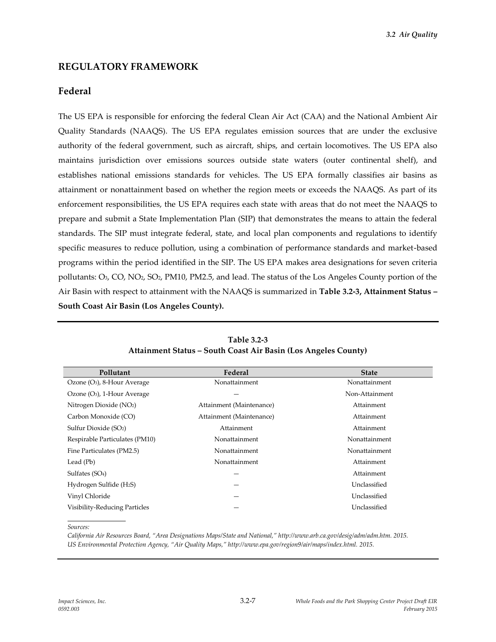## **REGULATORY FRAMEWORK**

### **Federal**

The US EPA is responsible for enforcing the federal Clean Air Act (CAA) and the National Ambient Air Quality Standards (NAAQS). The US EPA regulates emission sources that are under the exclusive authority of the federal government, such as aircraft, ships, and certain locomotives. The US EPA also maintains jurisdiction over emissions sources outside state waters (outer continental shelf), and establishes national emissions standards for vehicles. The US EPA formally classifies air basins as attainment or nonattainment based on whether the region meets or exceeds the NAAQS. As part of its enforcement responsibilities, the US EPA requires each state with areas that do not meet the NAAQS to prepare and submit a State Implementation Plan (SIP) that demonstrates the means to attain the federal standards. The SIP must integrate federal, state, and local plan components and regulations to identify specific measures to reduce pollution, using a combination of performance standards and market-based programs within the period identified in the SIP. The US EPA makes area designations for seven criteria pollutants: O3, CO, NO2, SO2, PM10, PM2.5, and lead. The status of the Los Angeles County portion of the Air Basin with respect to attainment with the NAAQS is summarized in **Table 3.2-3, Attainment Status – South Coast Air Basin (Los Angeles County).**

| Pollutant                               | Federal                  | <b>State</b>   |
|-----------------------------------------|--------------------------|----------------|
| Ozone (O <sub>3</sub> ), 8-Hour Average | Nonattainment            | Nonattainment  |
| Ozone $(O_3)$ , 1-Hour Average          |                          | Non-Attainment |
| Nitrogen Dioxide (NO2)                  | Attainment (Maintenance) | Attainment     |
| Carbon Monoxide (CO)                    | Attainment (Maintenance) | Attainment     |
| Sulfur Dioxide (SO <sub>2</sub> )       | Attainment               | Attainment     |
| Respirable Particulates (PM10)          | Nonattainment            | Nonattainment  |
| Fine Particulates (PM2.5)               | Nonattainment            | Nonattainment  |
| Lead (Pb)                               | Nonattainment            | Attainment     |
| Sulfates (SO <sub>4</sub> )             |                          | Attainment     |
| Hydrogen Sulfide (H <sub>2</sub> S)     |                          | Unclassified   |
| Vinyl Chloride                          |                          | Unclassified   |
| Visibility-Reducing Particles           |                          | Unclassified   |

**Table 3.2-3 Attainment Status – South Coast Air Basin (Los Angeles County)**

*Sources:* 

*California Air Resources Board, "Area Designations Maps/State and National," http://www.arb.ca.gov/desig/adm/adm.htm. 2015. US Environmental Protection Agency, "Air Quality Maps," http://www.epa.gov/region9/air/maps/index.html. 2015.*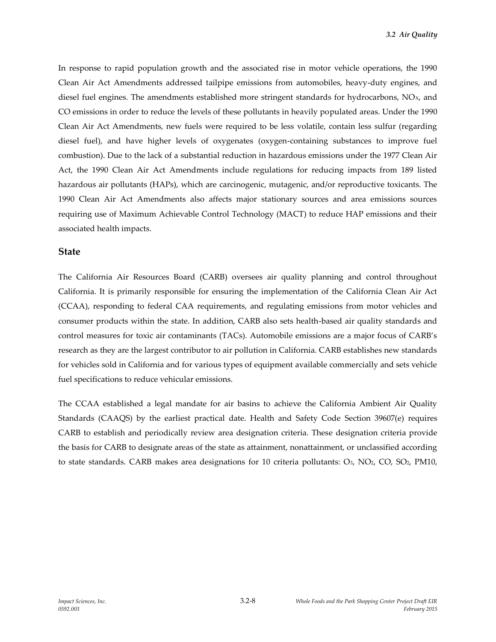In response to rapid population growth and the associated rise in motor vehicle operations, the 1990 Clean Air Act Amendments addressed tailpipe emissions from automobiles, heavy-duty engines, and diesel fuel engines. The amendments established more stringent standards for hydrocarbons, NO<sub>x</sub>, and CO emissions in order to reduce the levels of these pollutants in heavily populated areas. Under the 1990 Clean Air Act Amendments, new fuels were required to be less volatile, contain less sulfur (regarding diesel fuel), and have higher levels of oxygenates (oxygen-containing substances to improve fuel combustion). Due to the lack of a substantial reduction in hazardous emissions under the 1977 Clean Air Act, the 1990 Clean Air Act Amendments include regulations for reducing impacts from 189 listed hazardous air pollutants (HAPs), which are carcinogenic, mutagenic, and/or reproductive toxicants. The 1990 Clean Air Act Amendments also affects major stationary sources and area emissions sources requiring use of Maximum Achievable Control Technology (MACT) to reduce HAP emissions and their associated health impacts.

#### **State**

The California Air Resources Board (CARB) oversees air quality planning and control throughout California. It is primarily responsible for ensuring the implementation of the California Clean Air Act (CCAA), responding to federal CAA requirements, and regulating emissions from motor vehicles and consumer products within the state. In addition, CARB also sets health-based air quality standards and control measures for toxic air contaminants (TACs). Automobile emissions are a major focus of CARB's research as they are the largest contributor to air pollution in California. CARB establishes new standards for vehicles sold in California and for various types of equipment available commercially and sets vehicle fuel specifications to reduce vehicular emissions.

The CCAA established a legal mandate for air basins to achieve the California Ambient Air Quality Standards (CAAQS) by the earliest practical date. Health and Safety Code Section 39607(e) requires CARB to establish and periodically review area designation criteria. These designation criteria provide the basis for CARB to designate areas of the state as attainment, nonattainment, or unclassified according to state standards. CARB makes area designations for 10 criteria pollutants:  $O_3$ ,  $NO_2$ ,  $CO$ ,  $SO_2$ ,  $PM10$ ,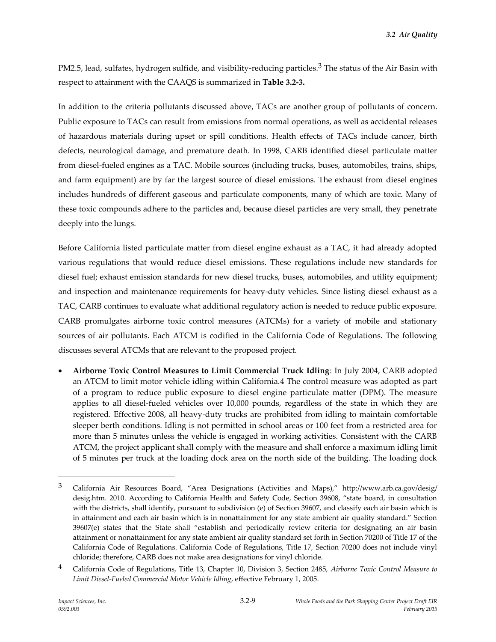PM2.5, lead, sulfates, hydrogen sulfide, and visibility-reducing particles.<sup>3</sup> The status of the Air Basin with respect to attainment with the CAAQS is summarized in **Table 3.2-3.**

In addition to the criteria pollutants discussed above, TACs are another group of pollutants of concern. Public exposure to TACs can result from emissions from normal operations, as well as accidental releases of hazardous materials during upset or spill conditions. Health effects of TACs include cancer, birth defects, neurological damage, and premature death. In 1998, CARB identified diesel particulate matter from diesel-fueled engines as a TAC. Mobile sources (including trucks, buses, automobiles, trains, ships, and farm equipment) are by far the largest source of diesel emissions. The exhaust from diesel engines includes hundreds of different gaseous and particulate components, many of which are toxic. Many of these toxic compounds adhere to the particles and, because diesel particles are very small, they penetrate deeply into the lungs.

Before California listed particulate matter from diesel engine exhaust as a TAC, it had already adopted various regulations that would reduce diesel emissions. These regulations include new standards for diesel fuel; exhaust emission standards for new diesel trucks, buses, automobiles, and utility equipment; and inspection and maintenance requirements for heavy-duty vehicles. Since listing diesel exhaust as a TAC, CARB continues to evaluate what additional regulatory action is needed to reduce public exposure. CARB promulgates airborne toxic control measures (ATCMs) for a variety of mobile and stationary sources of air pollutants. Each ATCM is codified in the California Code of Regulations. The following discusses several ATCMs that are relevant to the proposed project.

 **Airborne Toxic Control Measures to Limit Commercial Truck Idling**: In July 2004, CARB adopted an ATCM to limit motor vehicle idling within California.4 The control measure was adopted as part of a program to reduce public exposure to diesel engine particulate matter (DPM). The measure applies to all diesel-fueled vehicles over 10,000 pounds, regardless of the state in which they are registered. Effective 2008, all heavy-duty trucks are prohibited from idling to maintain comfortable sleeper berth conditions. Idling is not permitted in school areas or 100 feet from a restricted area for more than 5 minutes unless the vehicle is engaged in working activities. Consistent with the CARB ATCM, the project applicant shall comply with the measure and shall enforce a maximum idling limit of 5 minutes per truck at the loading dock area on the north side of the building. The loading dock

<sup>3</sup> California Air Resources Board, "Area Designations (Activities and Maps)," http://www.arb.ca.gov/desig/ desig.htm. 2010. According to California Health and Safety Code, Section 39608, "state board, in consultation with the districts, shall identify, pursuant to subdivision (e) of Section 39607, and classify each air basin which is in attainment and each air basin which is in nonattainment for any state ambient air quality standard." Section 39607(e) states that the State shall "establish and periodically review criteria for designating an air basin attainment or nonattainment for any state ambient air quality standard set forth in Section 70200 of Title 17 of the California Code of Regulations. California Code of Regulations, Title 17, Section 70200 does not include vinyl chloride; therefore, CARB does not make area designations for vinyl chloride.

<sup>4</sup> California Code of Regulations, Title 13, Chapter 10, Division 3, Section 2485, *Airborne Toxic Control Measure to Limit Diesel-Fueled Commercial Motor Vehicle Idling*, effective February 1, 2005.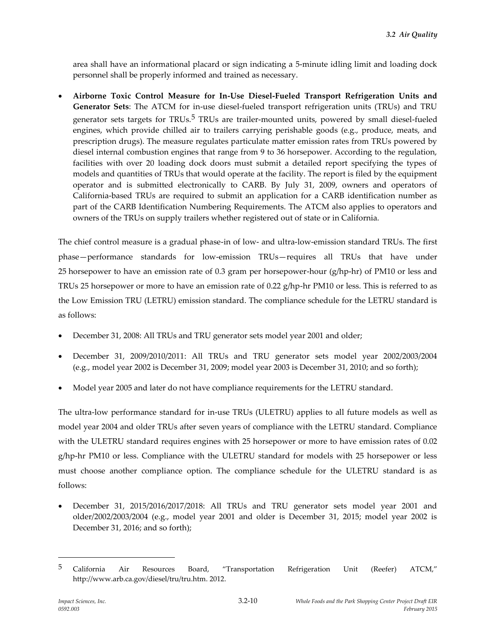area shall have an informational placard or sign indicating a 5-minute idling limit and loading dock personnel shall be properly informed and trained as necessary.

 **Airborne Toxic Control Measure for In-Use Diesel-Fueled Transport Refrigeration Units and Generator Sets**: The ATCM for in-use diesel-fueled transport refrigeration units (TRUs) and TRU generator sets targets for TRUs.<sup>5</sup> TRUs are trailer-mounted units, powered by small diesel-fueled engines, which provide chilled air to trailers carrying perishable goods (e.g., produce, meats, and prescription drugs). The measure regulates particulate matter emission rates from TRUs powered by diesel internal combustion engines that range from 9 to 36 horsepower. According to the regulation, facilities with over 20 loading dock doors must submit a detailed report specifying the types of models and quantities of TRUs that would operate at the facility. The report is filed by the equipment operator and is submitted electronically to CARB. By July 31, 2009, owners and operators of California-based TRUs are required to submit an application for a CARB identification number as part of the CARB Identification Numbering Requirements. The ATCM also applies to operators and owners of the TRUs on supply trailers whether registered out of state or in California.

The chief control measure is a gradual phase-in of low- and ultra-low-emission standard TRUs. The first phase—performance standards for low-emission TRUs—requires all TRUs that have under 25 horsepower to have an emission rate of 0.3 gram per horsepower-hour (g/hp-hr) of PM10 or less and TRUs 25 horsepower or more to have an emission rate of 0.22 g/hp-hr PM10 or less. This is referred to as the Low Emission TRU (LETRU) emission standard. The compliance schedule for the LETRU standard is as follows:

- December 31, 2008: All TRUs and TRU generator sets model year 2001 and older;
- December 31, 2009/2010/2011: All TRUs and TRU generator sets model year 2002/2003/2004 (e.g., model year 2002 is December 31, 2009; model year 2003 is December 31, 2010; and so forth);
- Model year 2005 and later do not have compliance requirements for the LETRU standard.

The ultra-low performance standard for in-use TRUs (ULETRU) applies to all future models as well as model year 2004 and older TRUs after seven years of compliance with the LETRU standard. Compliance with the ULETRU standard requires engines with 25 horsepower or more to have emission rates of 0.02 g/hp-hr PM10 or less. Compliance with the ULETRU standard for models with 25 horsepower or less must choose another compliance option. The compliance schedule for the ULETRU standard is as follows:

 December 31, 2015/2016/2017/2018: All TRUs and TRU generator sets model year 2001 and older/2002/2003/2004 (e.g., model year 2001 and older is December 31, 2015; model year 2002 is December 31, 2016; and so forth);

<sup>&</sup>lt;sup>5</sup> California Air Resources Board, "Transportation Refrigeration Unit (Reefer) ATCM," http://www.arb.ca.gov/diesel/tru/tru.htm. 2012.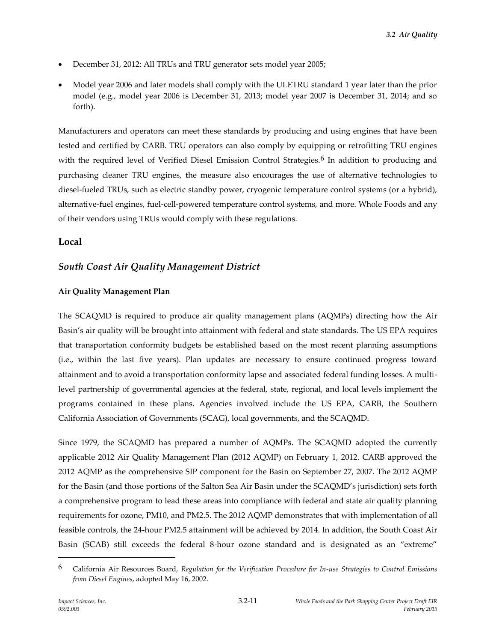- December 31, 2012: All TRUs and TRU generator sets model year 2005;
- Model year 2006 and later models shall comply with the ULETRU standard 1 year later than the prior model (e.g., model year 2006 is December 31, 2013; model year 2007 is December 31, 2014; and so forth).

Manufacturers and operators can meet these standards by producing and using engines that have been tested and certified by CARB. TRU operators can also comply by equipping or retrofitting TRU engines with the required level of Verified Diesel Emission Control Strategies.<sup>6</sup> In addition to producing and purchasing cleaner TRU engines, the measure also encourages the use of alternative technologies to diesel-fueled TRUs, such as electric standby power, cryogenic temperature control systems (or a hybrid), alternative-fuel engines, fuel-cell-powered temperature control systems, and more. Whole Foods and any of their vendors using TRUs would comply with these regulations.

## **Local**

# *South Coast Air Quality Management District*

### **Air Quality Management Plan**

The SCAQMD is required to produce air quality management plans (AQMPs) directing how the Air Basin's air quality will be brought into attainment with federal and state standards. The US EPA requires that transportation conformity budgets be established based on the most recent planning assumptions (i.e., within the last five years). Plan updates are necessary to ensure continued progress toward attainment and to avoid a transportation conformity lapse and associated federal funding losses. A multilevel partnership of governmental agencies at the federal, state, regional, and local levels implement the programs contained in these plans. Agencies involved include the US EPA, CARB, the Southern California Association of Governments (SCAG), local governments, and the SCAQMD.

Since 1979, the SCAQMD has prepared a number of AQMPs. The SCAQMD adopted the currently applicable 2012 Air Quality Management Plan (2012 AQMP) on February 1, 2012. CARB approved the 2012 AQMP as the comprehensive SIP component for the Basin on September 27, 2007. The 2012 AQMP for the Basin (and those portions of the Salton Sea Air Basin under the SCAQMD's jurisdiction) sets forth a comprehensive program to lead these areas into compliance with federal and state air quality planning requirements for ozone, PM10, and PM2.5. The 2012 AQMP demonstrates that with implementation of all feasible controls, the 24-hour PM2.5 attainment will be achieved by 2014. In addition, the South Coast Air Basin (SCAB) still exceeds the federal 8-hour ozone standard and is designated as an "extreme"

<sup>6</sup> California Air Resources Board, *Regulation for the Verification Procedure for In-use Strategies to Control Emissions from Diesel Engines*, adopted May 16, 2002.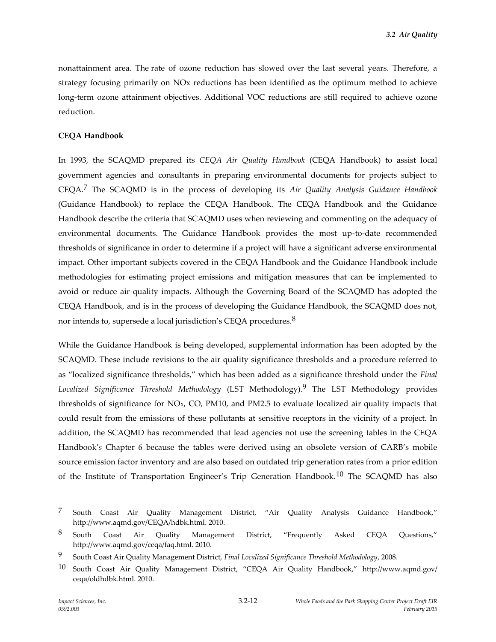nonattainment area. The rate of ozone reduction has slowed over the last several years. Therefore, a strategy focusing primarily on NOx reductions has been identified as the optimum method to achieve long-term ozone attainment objectives. Additional VOC reductions are still required to achieve ozone reduction.

#### **CEQA Handbook**

In 1993, the SCAQMD prepared its *CEQA Air Quality Handbook* (CEQA Handbook) to assist local government agencies and consultants in preparing environmental documents for projects subject to CEQA.7 The SCAQMD is in the process of developing its *Air Quality Analysis Guidance Handbook* (Guidance Handbook) to replace the CEQA Handbook. The CEQA Handbook and the Guidance Handbook describe the criteria that SCAQMD uses when reviewing and commenting on the adequacy of environmental documents. The Guidance Handbook provides the most up-to-date recommended thresholds of significance in order to determine if a project will have a significant adverse environmental impact. Other important subjects covered in the CEQA Handbook and the Guidance Handbook include methodologies for estimating project emissions and mitigation measures that can be implemented to avoid or reduce air quality impacts. Although the Governing Board of the SCAQMD has adopted the CEQA Handbook, and is in the process of developing the Guidance Handbook, the SCAQMD does not, nor intends to, supersede a local jurisdiction's CEQA procedures.<sup>8</sup>

While the Guidance Handbook is being developed, supplemental information has been adopted by the SCAQMD. These include revisions to the air quality significance thresholds and a procedure referred to as "localized significance thresholds," which has been added as a significance threshold under the *Final Localized Significance Threshold Methodology* (LST Methodology).9 The LST Methodology provides thresholds of significance for NO<sub>x</sub>, CO, PM10, and PM2.5 to evaluate localized air quality impacts that could result from the emissions of these pollutants at sensitive receptors in the vicinity of a project. In addition, the SCAQMD has recommended that lead agencies not use the screening tables in the CEQA Handbook'*s* Chapter 6 because the tables were derived using an obsolete version of CARB's mobile source emission factor inventory and are also based on outdated trip generation rates from a prior edition of the Institute of Transportation Engineer's Trip Generation Handbook.<sup>10</sup> The SCAQMD has also

<sup>7</sup> South Coast Air Quality Management District, "Air Quality Analysis Guidance Handbook," http://www.aqmd.gov/CEQA/hdbk.html. 2010.

 $8$  South Coast Air Quality Management District, "Frequently Asked CEQA Questions," http://www.aqmd.gov/ceqa/faq.html. 2010.

<sup>9</sup> South Coast Air Quality Management District, *Final Localized Significance Threshold Methodology*, 2008.

<sup>10</sup> South Coast Air Quality Management District, "CEQA Air Quality Handbook," http://www.aqmd.gov/ ceqa/oldhdbk.html. 2010.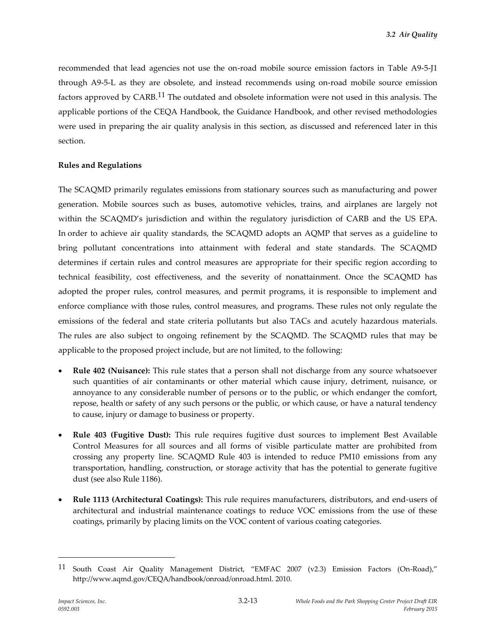recommended that lead agencies not use the on-road mobile source emission factors in Table A9-5-J1 through A9-5-L as they are obsolete, and instead recommends using on-road mobile source emission factors approved by CARB.11 The outdated and obsolete information were not used in this analysis. The applicable portions of the CEQA Handbook, the Guidance Handbook, and other revised methodologies were used in preparing the air quality analysis in this section, as discussed and referenced later in this section.

### **Rules and Regulations**

The SCAQMD primarily regulates emissions from stationary sources such as manufacturing and power generation. Mobile sources such as buses, automotive vehicles, trains, and airplanes are largely not within the SCAQMD's jurisdiction and within the regulatory jurisdiction of CARB and the US EPA. In order to achieve air quality standards, the SCAQMD adopts an AQMP that serves as a guideline to bring pollutant concentrations into attainment with federal and state standards. The SCAQMD determines if certain rules and control measures are appropriate for their specific region according to technical feasibility, cost effectiveness, and the severity of nonattainment. Once the SCAQMD has adopted the proper rules, control measures, and permit programs, it is responsible to implement and enforce compliance with those rules, control measures, and programs. These rules not only regulate the emissions of the federal and state criteria pollutants but also TACs and acutely hazardous materials. The rules are also subject to ongoing refinement by the SCAQMD. The SCAQMD rules that may be applicable to the proposed project include, but are not limited, to the following:

- **Rule 402 (Nuisance):** This rule states that a person shall not discharge from any source whatsoever such quantities of air contaminants or other material which cause injury, detriment, nuisance, or annoyance to any considerable number of persons or to the public, or which endanger the comfort, repose, health or safety of any such persons or the public, or which cause, or have a natural tendency to cause, injury or damage to business or property.
- **Rule 403 (Fugitive Dust):** This rule requires fugitive dust sources to implement Best Available Control Measures for all sources and all forms of visible particulate matter are prohibited from crossing any property line. SCAQMD Rule 403 is intended to reduce PM10 emissions from any transportation, handling, construction, or storage activity that has the potential to generate fugitive dust (see also Rule 1186).
- **Rule 1113 (Architectural Coatings):** This rule requires manufacturers, distributors, and end-users of architectural and industrial maintenance coatings to reduce VOC emissions from the use of these coatings, primarily by placing limits on the VOC content of various coating categories.

<sup>11</sup> South Coast Air Quality Management District, "EMFAC 2007 (v2.3) Emission Factors (On-Road)," http://www.aqmd.gov/CEQA/handbook/onroad/onroad.html. 2010.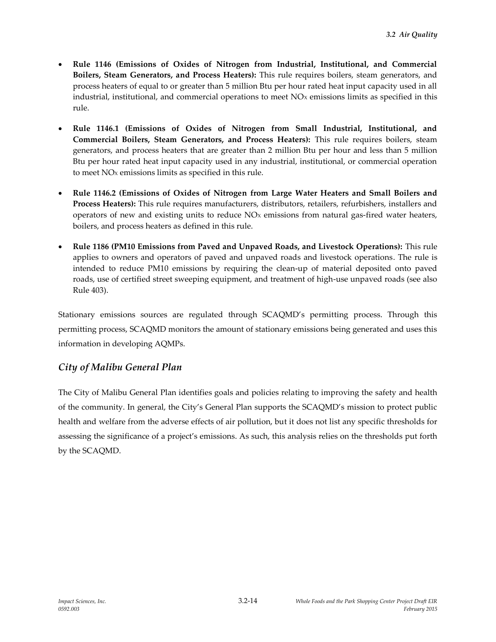- **Rule 1146 (Emissions of Oxides of Nitrogen from Industrial, Institutional, and Commercial Boilers, Steam Generators, and Process Heaters):** This rule requires boilers, steam generators, and process heaters of equal to or greater than 5 million Btu per hour rated heat input capacity used in all industrial, institutional, and commercial operations to meet  $NOx$  emissions limits as specified in this rule.
- **Rule 1146.1 (Emissions of Oxides of Nitrogen from Small Industrial, Institutional, and Commercial Boilers, Steam Generators, and Process Heaters):** This rule requires boilers, steam generators, and process heaters that are greater than 2 million Btu per hour and less than 5 million Btu per hour rated heat input capacity used in any industrial, institutional, or commercial operation to meet NO<sub>x</sub> emissions limits as specified in this rule.
- **Rule 1146.2 (Emissions of Oxides of Nitrogen from Large Water Heaters and Small Boilers and Process Heaters):** This rule requires manufacturers, distributors, retailers, refurbishers, installers and operators of new and existing units to reduce NO<sub>x</sub> emissions from natural gas-fired water heaters, boilers, and process heaters as defined in this rule.
- **Rule 1186 (PM10 Emissions from Paved and Unpaved Roads, and Livestock Operations):** This rule applies to owners and operators of paved and unpaved roads and livestock operations. The rule is intended to reduce PM10 emissions by requiring the clean-up of material deposited onto paved roads, use of certified street sweeping equipment, and treatment of high-use unpaved roads (see also Rule 403).

Stationary emissions sources are regulated through SCAQMD's permitting process. Through this permitting process, SCAQMD monitors the amount of stationary emissions being generated and uses this information in developing AQMPs.

# *City of Malibu General Plan*

The City of Malibu General Plan identifies goals and policies relating to improving the safety and health of the community. In general, the City's General Plan supports the SCAQMD's mission to protect public health and welfare from the adverse effects of air pollution, but it does not list any specific thresholds for assessing the significance of a project's emissions. As such, this analysis relies on the thresholds put forth by the SCAQMD.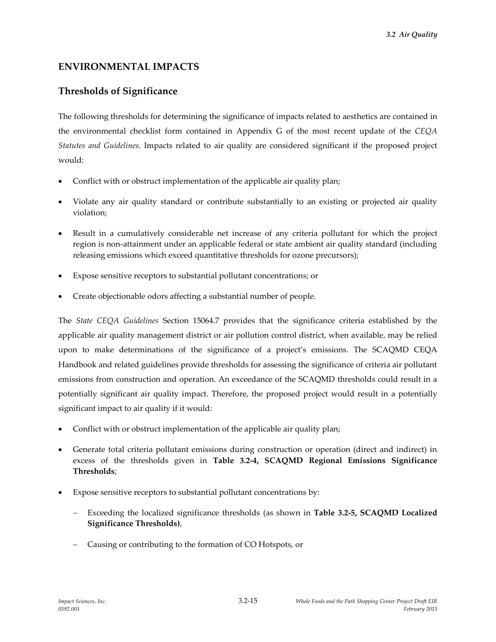# **ENVIRONMENTAL IMPACTS**

# **Thresholds of Significance**

The following thresholds for determining the significance of impacts related to aesthetics are contained in the environmental checklist form contained in Appendix G of the most recent update of the *CEQA Statutes and Guidelines*. Impacts related to air quality are considered significant if the proposed project would:

- Conflict with or obstruct implementation of the applicable air quality plan;
- Violate any air quality standard or contribute substantially to an existing or projected air quality violation;
- Result in a cumulatively considerable net increase of any criteria pollutant for which the project region is non-attainment under an applicable federal or state ambient air quality standard (including releasing emissions which exceed quantitative thresholds for ozone precursors);
- Expose sensitive receptors to substantial pollutant concentrations; or
- Create objectionable odors affecting a substantial number of people.

The *State CEQA Guidelines* Section 15064.7 provides that the significance criteria established by the applicable air quality management district or air pollution control district, when available, may be relied upon to make determinations of the significance of a project's emissions. The SCAQMD CEQA Handbook and related guidelines provide thresholds for assessing the significance of criteria air pollutant emissions from construction and operation. An exceedance of the SCAQMD thresholds could result in a potentially significant air quality impact. Therefore, the proposed project would result in a potentially significant impact to air quality if it would:

- Conflict with or obstruct implementation of the applicable air quality plan;
- Generate total criteria pollutant emissions during construction or operation (direct and indirect) in excess of the thresholds given in **Table 3.2-4, SCAQMD Regional Emissions Significance Thresholds**;
- Expose sensitive receptors to substantial pollutant concentrations by:
	- Exceeding the localized significance thresholds (as shown in **Table 3.2-5, SCAQMD Localized Significance Thresholds)**,
	- Causing or contributing to the formation of CO Hotspots, or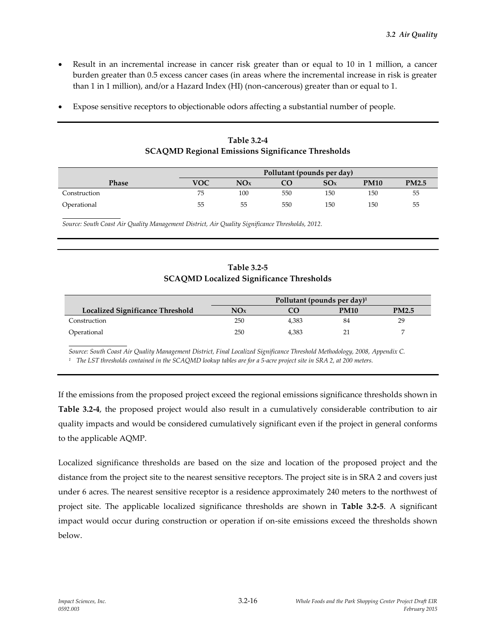- Result in an incremental increase in cancer risk greater than or equal to 10 in 1 million, a cancer burden greater than 0.5 excess cancer cases (in areas where the incremental increase in risk is greater than 1 in 1 million), and/or a Hazard Index (HI) (non-cancerous) greater than or equal to 1.
- Expose sensitive receptors to objectionable odors affecting a substantial number of people.

|              |     |     |     | Pollutant (pounds per day) |             |              |
|--------------|-----|-----|-----|----------------------------|-------------|--------------|
| Phase        | VOC | NOx |     | SO <sub>x</sub>            | <b>PM10</b> | <b>PM2.5</b> |
| Construction | 75  | 100 | 550 | 150                        | 150         | 55           |
| Operational  | 55  | 55  | 550 | 150                        | 150         | 55           |

**Table 3.2-4 SCAQMD Regional Emissions Significance Thresholds**

*Source: South Coast Air Quality Management District, Air Quality Significance Thresholds, 2012.*

### **Table 3.2-5 SCAQMD Localized Significance Thresholds**

|                                  |     | Pollutant (pounds per day) $1$ |      |              |
|----------------------------------|-----|--------------------------------|------|--------------|
| Localized Significance Threshold | NOx |                                | PM10 | <b>PM2.5</b> |
| Construction                     | 250 | 4.383                          | 84   | 29           |
| Operational                      | 250 | 4.383                          |      |              |

*Source: South Coast Air Quality Management District, Final Localized Significance Threshold Methodology, 2008, Appendix C. <sup>1</sup> The LST thresholds contained in the SCAQMD lookup tables are for a 5-acre project site in SRA 2, at 200 meters.* 

If the emissions from the proposed project exceed the regional emissions significance thresholds shown in **Table 3.2-4**, the proposed project would also result in a cumulatively considerable contribution to air quality impacts and would be considered cumulatively significant even if the project in general conforms to the applicable AQMP.

Localized significance thresholds are based on the size and location of the proposed project and the distance from the project site to the nearest sensitive receptors. The project site is in SRA 2 and covers just under 6 acres. The nearest sensitive receptor is a residence approximately 240 meters to the northwest of project site. The applicable localized significance thresholds are shown in **Table 3.2-5**. A significant impact would occur during construction or operation if on-site emissions exceed the thresholds shown below.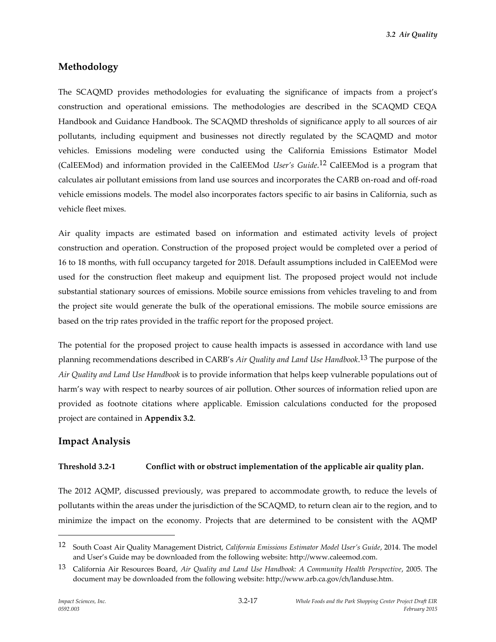*3.2 Air Quality*

### **Methodology**

The SCAQMD provides methodologies for evaluating the significance of impacts from a project's construction and operational emissions. The methodologies are described in the SCAQMD CEQA Handbook and Guidance Handbook. The SCAQMD thresholds of significance apply to all sources of air pollutants, including equipment and businesses not directly regulated by the SCAQMD and motor vehicles. Emissions modeling were conducted using the California Emissions Estimator Model (CalEEMod) and information provided in the CalEEMod *User's Guide*. 12 CalEEMod is a program that calculates air pollutant emissions from land use sources and incorporates the CARB on-road and off-road vehicle emissions models. The model also incorporates factors specific to air basins in California, such as vehicle fleet mixes.

Air quality impacts are estimated based on information and estimated activity levels of project construction and operation. Construction of the proposed project would be completed over a period of 16 to 18 months, with full occupancy targeted for 2018. Default assumptions included in CalEEMod were used for the construction fleet makeup and equipment list. The proposed project would not include substantial stationary sources of emissions. Mobile source emissions from vehicles traveling to and from the project site would generate the bulk of the operational emissions. The mobile source emissions are based on the trip rates provided in the traffic report for the proposed project.

The potential for the proposed project to cause health impacts is assessed in accordance with land use planning recommendations described in CARB's *Air Quality and Land Use Handbook*. 13 The purpose of the *Air Quality and Land Use Handbook* is to provide information that helps keep vulnerable populations out of harm's way with respect to nearby sources of air pollution. Other sources of information relied upon are provided as footnote citations where applicable. Emission calculations conducted for the proposed project are contained in **Appendix 3.2**.

### **Impact Analysis**

#### **Threshold 3.2-1 Conflict with or obstruct implementation of the applicable air quality plan.**

The 2012 AQMP, discussed previously, was prepared to accommodate growth, to reduce the levels of pollutants within the areas under the jurisdiction of the SCAQMD, to return clean air to the region, and to minimize the impact on the economy. Projects that are determined to be consistent with the AQMP

<sup>12</sup> South Coast Air Quality Management District, *California Emissions Estimator Model User's Guide*, 2014. The model and User's Guide may be downloaded from the following website: http://www.caleemod.com.

<sup>13</sup> California Air Resources Board, *Air Quality and Land Use Handbook: A Community Health Perspective*, 2005. The document may be downloaded from the following website: http://www.arb.ca.gov/ch/landuse.htm.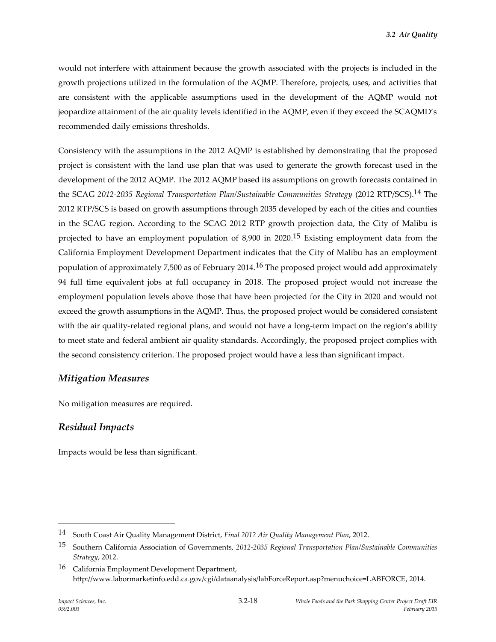would not interfere with attainment because the growth associated with the projects is included in the growth projections utilized in the formulation of the AQMP. Therefore, projects, uses, and activities that are consistent with the applicable assumptions used in the development of the AQMP would not jeopardize attainment of the air quality levels identified in the AQMP, even if they exceed the SCAQMD's recommended daily emissions thresholds.

Consistency with the assumptions in the 2012 AQMP is established by demonstrating that the proposed project is consistent with the land use plan that was used to generate the growth forecast used in the development of the 2012 AQMP. The 2012 AQMP based its assumptions on growth forecasts contained in the SCAG *2012-2035 Regional Transportation Plan/Sustainable Communities Strategy* (2012 RTP/SCS).14 The 2012 RTP/SCS is based on growth assumptions through 2035 developed by each of the cities and counties in the SCAG region. According to the SCAG 2012 RTP growth projection data, the City of Malibu is projected to have an employment population of 8,900 in 2020.<sup>15</sup> Existing employment data from the California Employment Development Department indicates that the City of Malibu has an employment population of approximately 7,500 as of February 2014.<sup>16</sup> The proposed project would add approximately 94 full time equivalent jobs at full occupancy in 2018. The proposed project would not increase the employment population levels above those that have been projected for the City in 2020 and would not exceed the growth assumptions in the AQMP. Thus, the proposed project would be considered consistent with the air quality-related regional plans, and would not have a long-term impact on the region's ability to meet state and federal ambient air quality standards. Accordingly, the proposed project complies with the second consistency criterion. The proposed project would have a less than significant impact.

### *Mitigation Measures*

No mitigation measures are required.

# *Residual Impacts*

Impacts would be less than significant.

<sup>14</sup> South Coast Air Quality Management District, *Final 2012 Air Quality Management Plan*, 2012.

<sup>15</sup> Southern California Association of Governments, *2012-2035 Regional Transportation Plan/Sustainable Communities Strategy*, 2012.

<sup>16</sup> California Employment Development Department, http://www.labormarketinfo.edd.ca.gov/cgi/dataanalysis/labForceReport.asp?menuchoice=LABFORCE, 2014.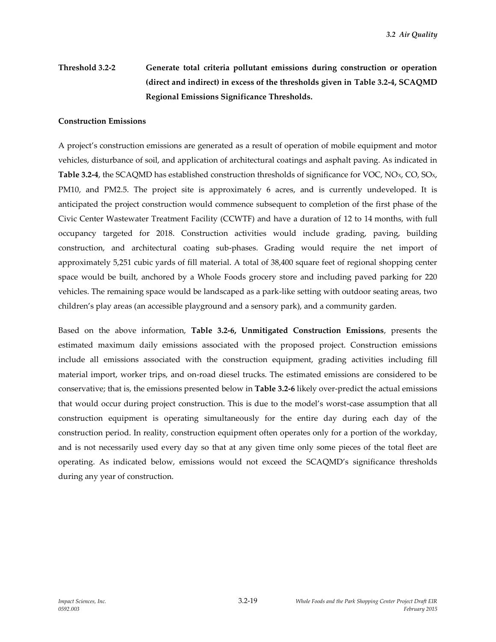# **Threshold 3.2-2 Generate total criteria pollutant emissions during construction or operation (direct and indirect) in excess of the thresholds given in Table 3.2-4, SCAQMD Regional Emissions Significance Thresholds.**

#### **Construction Emissions**

A project's construction emissions are generated as a result of operation of mobile equipment and motor vehicles, disturbance of soil, and application of architectural coatings and asphalt paving. As indicated in **Table 3.2-4**, the SCAQMD has established construction thresholds of significance for VOC, NO<sub>x</sub>, CO, SO<sub>x</sub>, PM10, and PM2.5. The project site is approximately 6 acres, and is currently undeveloped. It is anticipated the project construction would commence subsequent to completion of the first phase of the Civic Center Wastewater Treatment Facility (CCWTF) and have a duration of 12 to 14 months, with full occupancy targeted for 2018. Construction activities would include grading, paving, building construction, and architectural coating sub-phases. Grading would require the net import of approximately 5,251 cubic yards of fill material. A total of 38,400 square feet of regional shopping center space would be built, anchored by a Whole Foods grocery store and including paved parking for 220 vehicles. The remaining space would be landscaped as a park-like setting with outdoor seating areas, two children's play areas (an accessible playground and a sensory park), and a community garden.

Based on the above information, **Table 3.2-6, Unmitigated Construction Emissions**, presents the estimated maximum daily emissions associated with the proposed project. Construction emissions include all emissions associated with the construction equipment, grading activities including fill material import, worker trips, and on-road diesel trucks. The estimated emissions are considered to be conservative; that is, the emissions presented below in **Table 3.2-6** likely over-predict the actual emissions that would occur during project construction. This is due to the model's worst-case assumption that all construction equipment is operating simultaneously for the entire day during each day of the construction period. In reality, construction equipment often operates only for a portion of the workday, and is not necessarily used every day so that at any given time only some pieces of the total fleet are operating. As indicated below, emissions would not exceed the SCAQMD's significance thresholds during any year of construction.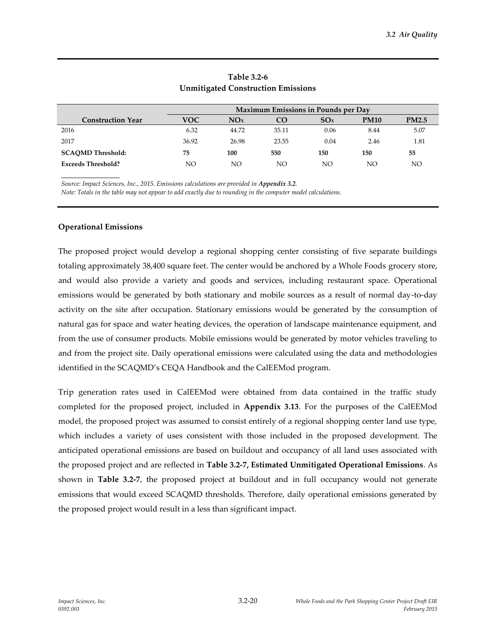|                           |       |       |       | Maximum Emissions in Pounds per Day |             |              |
|---------------------------|-------|-------|-------|-------------------------------------|-------------|--------------|
| <b>Construction Year</b>  | VOC   | NOx   | CO    | SOx                                 | <b>PM10</b> | <b>PM2.5</b> |
| 2016                      | 6.32  | 44.72 | 35.11 | 0.06                                | 8.44        | 5.07         |
| 2017                      | 36.92 | 26.98 | 23.55 | 0.04                                | 2.46        | 1.81         |
| <b>SCAQMD Threshold:</b>  | 75    | 100   | 550   | 150                                 | 150         | 55           |
| <b>Exceeds Threshold?</b> | NO    | NΟ    | NΟ    | NΟ                                  | NO          | NΟ           |

### **Table 3.2-6 Unmitigated Construction Emissions**

Source: Impact Sciences, Inc., 2015. Emissions calculations are provided in Appendix 3.2.

*Note: Totals in the table may not appear to add exactly due to rounding in the computer model calculations.*

#### **Operational Emissions**

The proposed project would develop a regional shopping center consisting of five separate buildings totaling approximately 38,400 square feet. The center would be anchored by a Whole Foods grocery store, and would also provide a variety and goods and services, including restaurant space. Operational emissions would be generated by both stationary and mobile sources as a result of normal day-to-day activity on the site after occupation. Stationary emissions would be generated by the consumption of natural gas for space and water heating devices, the operation of landscape maintenance equipment, and from the use of consumer products. Mobile emissions would be generated by motor vehicles traveling to and from the project site. Daily operational emissions were calculated using the data and methodologies identified in the SCAQMD's CEQA Handbook and the CalEEMod program.

Trip generation rates used in CalEEMod were obtained from data contained in the traffic study completed for the proposed project, included in **Appendix 3.13**. For the purposes of the CalEEMod model, the proposed project was assumed to consist entirely of a regional shopping center land use type, which includes a variety of uses consistent with those included in the proposed development. The anticipated operational emissions are based on buildout and occupancy of all land uses associated with the proposed project and are reflected in **Table 3.2-7, Estimated Unmitigated Operational Emissions**. As shown in **Table 3.2-7**, the proposed project at buildout and in full occupancy would not generate emissions that would exceed SCAQMD thresholds. Therefore, daily operational emissions generated by the proposed project would result in a less than significant impact.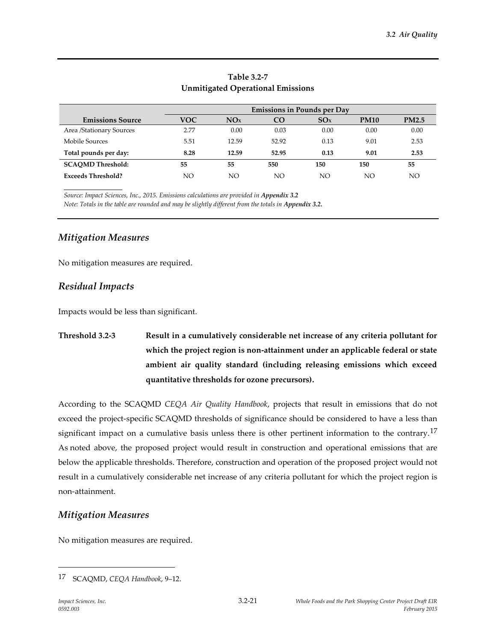|                           |            | <b>Emissions in Pounds per Day</b> |       |      |             |              |
|---------------------------|------------|------------------------------------|-------|------|-------------|--------------|
| <b>Emissions Source</b>   | <b>VOC</b> | NOx                                | CO.   | SOx  | <b>PM10</b> | <b>PM2.5</b> |
| Area /Stationary Sources  | 2.77       | 0.00                               | 0.03  | 0.00 | 0.00        | 0.00         |
| Mobile Sources            | 5.51       | 12.59                              | 52.92 | 0.13 | 9.01        | 2.53         |
| Total pounds per day:     | 8.28       | 12.59                              | 52.95 | 0.13 | 9.01        | 2.53         |
| <b>SCAOMD Threshold:</b>  | 55         | 55                                 | 550   | 150  | 150         | 55           |
| <b>Exceeds Threshold?</b> | NO         | NΟ                                 | NO    | NO   | NO          | NΟ           |

## **Table 3.2-7 Unmitigated Operational Emissions**

Source: Impact Sciences, Inc., 2015. Emissions calculations are provided in Appendix 3.2

*Note: Totals in the table are rounded and may be slightly different from the totals in Appendix 3.2.*

### *Mitigation Measures*

No mitigation measures are required.

## *Residual Impacts*

Impacts would be less than significant.

# **Threshold 3.2-3 Result in a cumulatively considerable net increase of any criteria pollutant for which the project region is non-attainment under an applicable federal or state ambient air quality standard (including releasing emissions which exceed quantitative thresholds for ozone precursors).**

According to the SCAQMD *CEQA Air Quality Handbook*, projects that result in emissions that do not exceed the project-specific SCAQMD thresholds of significance should be considered to have a less than significant impact on a cumulative basis unless there is other pertinent information to the contrary.<sup>17</sup> As noted above, the proposed project would result in construction and operational emissions that are below the applicable thresholds. Therefore, construction and operation of the proposed project would not result in a cumulatively considerable net increase of any criteria pollutant for which the project region is non-attainment.

# *Mitigation Measures*

No mitigation measures are required.

<sup>17</sup> SCAQMD, *CEQA Handbook*, 9–12.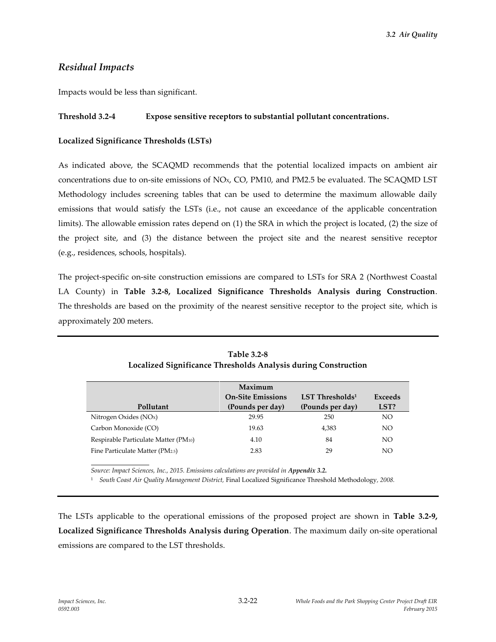## *Residual Impacts*

Impacts would be less than significant.

### **Threshold 3.2-4 Expose sensitive receptors to substantial pollutant concentrations.**

### **Localized Significance Thresholds (LSTs)**

As indicated above, the SCAQMD recommends that the potential localized impacts on ambient air concentrations due to on-site emissions of  $NOx$ ,  $CO$ ,  $PM10$ , and  $PM2.5$  be evaluated. The SCAQMD LST Methodology includes screening tables that can be used to determine the maximum allowable daily emissions that would satisfy the LSTs (i.e., not cause an exceedance of the applicable concentration limits). The allowable emission rates depend on (1) the SRA in which the project is located, (2) the size of the project site, and (3) the distance between the project site and the nearest sensitive receptor (e.g., residences, schools, hospitals).

The project-specific on-site construction emissions are compared to LSTs for SRA 2 (Northwest Coastal LA County) in **Table 3.2-8, Localized Significance Thresholds Analysis during Construction**. The thresholds are based on the proximity of the nearest sensitive receptor to the project site, which is approximately 200 meters.

|                                      | Maximum                  |                    |                |
|--------------------------------------|--------------------------|--------------------|----------------|
|                                      | <b>On-Site Emissions</b> | LST Thresholds $1$ | <b>Exceeds</b> |
| Pollutant                            | (Pounds per day)         | (Pounds per day)   | LST?           |
| Nitrogen Oxides $(NOx)$              | 29.95                    | 250                | NO             |
| Carbon Monoxide (CO)                 | 19.63                    | 4,383              | NO             |
| Respirable Particulate Matter (PM10) | 4.10                     | 84                 | NO             |
| Fine Particulate Matter (PM2.5)      | 2.83                     | 29                 | NO             |

**Table 3.2-8 Localized Significance Thresholds Analysis during Construction**

Source: Impact Sciences, Inc., 2015. Emissions calculations are provided in Appendix 3.2.

<sup>1</sup> *South Coast Air Quality Management District,* Final Localized Significance Threshold Methodology*, 2008.*

The LSTs applicable to the operational emissions of the proposed project are shown in **Table 3.2-9, Localized Significance Thresholds Analysis during Operation**. The maximum daily on-site operational emissions are compared to the LST thresholds.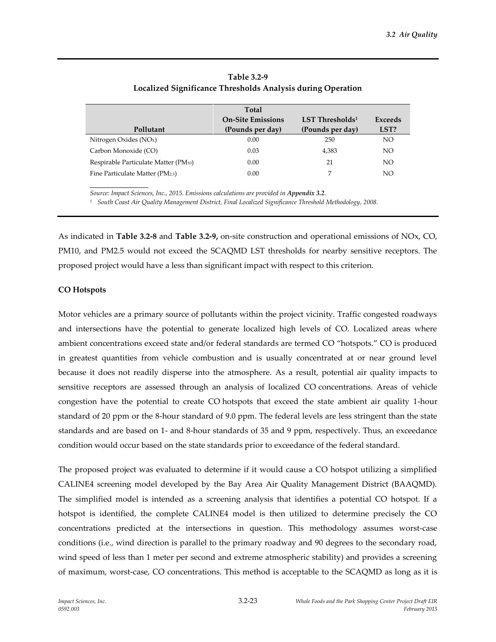|                                      | Total                    |                             |                |
|--------------------------------------|--------------------------|-----------------------------|----------------|
|                                      | <b>On-Site Emissions</b> | LST Thresholds <sup>1</sup> | <b>Exceeds</b> |
| Pollutant                            | (Pounds per day)         | (Pounds per day)            | LST?           |
| Nitrogen Oxides (NO <sub>x</sub> )   | 0.00                     | 250                         | NO.            |
| Carbon Monoxide (CO)                 | 0.03                     | 4,383                       | NO.            |
| Respirable Particulate Matter (PM10) | 0.00                     | 21                          | NO.            |
| Fine Particulate Matter (PM2.5)      | 0.00                     | 7                           | NO             |
|                                      |                          |                             |                |

| Table 3.2-9                                                 |
|-------------------------------------------------------------|
| Localized Significance Thresholds Analysis during Operation |

*Source: Impact Sciences, Inc., 2015. Emissions calculations are provided in Appendix 3.2.* 

*<sup>1</sup> South Coast Air Quality Management District, Final Localized Significance Threshold Methodology, 2008.*

As indicated in **Table 3.2-8** and **Table 3.2-9,** on-site construction and operational emissions of NOx, CO, PM10, and PM2.5 would not exceed the SCAQMD LST thresholds for nearby sensitive receptors. The proposed project would have a less than significant impact with respect to this criterion.

#### **CO Hotspots**

Motor vehicles are a primary source of pollutants within the project vicinity. Traffic congested roadways and intersections have the potential to generate localized high levels of CO. Localized areas where ambient concentrations exceed state and/or federal standards are termed CO "hotspots." CO is produced in greatest quantities from vehicle combustion and is usually concentrated at or near ground level because it does not readily disperse into the atmosphere. As a result, potential air quality impacts to sensitive receptors are assessed through an analysis of localized CO concentrations. Areas of vehicle congestion have the potential to create CO hotspots that exceed the state ambient air quality 1-hour standard of 20 ppm or the 8-hour standard of 9.0 ppm. The federal levels are less stringent than the state standards and are based on 1- and 8-hour standards of 35 and 9 ppm, respectively. Thus, an exceedance condition would occur based on the state standards prior to exceedance of the federal standard.

The proposed project was evaluated to determine if it would cause a CO hotspot utilizing a simplified CALINE4 screening model developed by the Bay Area Air Quality Management District (BAAQMD). The simplified model is intended as a screening analysis that identifies a potential CO hotspot. If a hotspot is identified, the complete CALINE4 model is then utilized to determine precisely the CO concentrations predicted at the intersections in question. This methodology assumes worst-case conditions (i.e., wind direction is parallel to the primary roadway and 90 degrees to the secondary road, wind speed of less than 1 meter per second and extreme atmospheric stability) and provides a screening of maximum, worst-case, CO concentrations. This method is acceptable to the SCAQMD as long as it is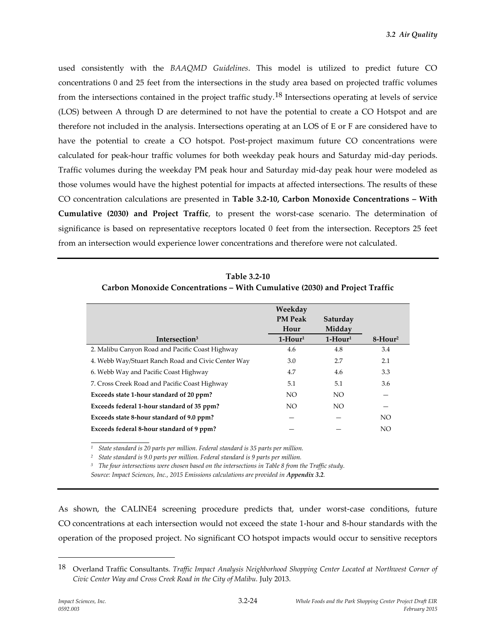used consistently with the *BAAQMD Guidelines*. This model is utilized to predict future CO concentrations 0 and 25 feet from the intersections in the study area based on projected traffic volumes from the intersections contained in the project traffic study.18 Intersections operating at levels of service (LOS) between A through D are determined to not have the potential to create a CO Hotspot and are therefore not included in the analysis. Intersections operating at an LOS of E or F are considered have to have the potential to create a CO hotspot. Post-project maximum future CO concentrations were calculated for peak-hour traffic volumes for both weekday peak hours and Saturday mid-day periods. Traffic volumes during the weekday PM peak hour and Saturday mid-day peak hour were modeled as those volumes would have the highest potential for impacts at affected intersections. The results of these CO concentration calculations are presented in **Table 3.2-10, Carbon Monoxide Concentrations – With Cumulative (2030) and Project Traffic**, to present the worst-case scenario. The determination of significance is based on representative receptors located 0 feet from the intersection. Receptors 25 feet from an intersection would experience lower concentrations and therefore were not calculated.

| Table 3.2-10                                                                |
|-----------------------------------------------------------------------------|
| Carbon Monoxide Concentrations - With Cumulative (2030) and Project Traffic |

|                                                    | Weekday        |           |                         |
|----------------------------------------------------|----------------|-----------|-------------------------|
|                                                    | <b>PM Peak</b> | Saturday  |                         |
|                                                    | Hour           | Midday    |                         |
| Intersection <sup>3</sup>                          | $1-Hour1$      | $1-Hour1$ | $8 -$ Hour <sup>2</sup> |
| 2. Malibu Canyon Road and Pacific Coast Highway    | 4.6            | 4.8       | 3.4                     |
| 4. Webb Way/Stuart Ranch Road and Civic Center Way | 3.0            | 2.7       | 2.1                     |
| 6. Webb Way and Pacific Coast Highway              | 4.7            | 4.6       | 3.3                     |
| 7. Cross Creek Road and Pacific Coast Highway      | 5.1            | 5.1       | 3.6                     |
| Exceeds state 1-hour standard of 20 ppm?           | NO.            | NO.       |                         |
| Exceeds federal 1-hour standard of 35 ppm?         | NO.            | NO.       |                         |
| Exceeds state 8-hour standard of 9.0 ppm?          |                |           | NO.                     |
| Exceeds federal 8-hour standard of 9 ppm?          |                |           | NO <sub>1</sub>         |

*<sup>1</sup> State standard is 20 parts per million. Federal standard is 35 parts per million.*

*<sup>2</sup> State standard is 9.0 parts per million. Federal standard is 9 parts per million.*

*<sup>3</sup> The four intersections were chosen based on the intersections in Table 8 from the Traffic study.*

*Source: Impact Sciences, Inc., 2015 Emissions calculations are provided in Appendix 3.2.*

As shown, the CALINE4 screening procedure predicts that, under worst-case conditions, future CO concentrations at each intersection would not exceed the state 1-hour and 8-hour standards with the operation of the proposed project. No significant CO hotspot impacts would occur to sensitive receptors

<sup>18</sup> Overland Traffic Consultants. *Traffic Impact Analysis Neighborhood Shopping Center Located at Northwest Corner of Civic Center Way and Cross Creek Road in the City of Malibu.* July 2013.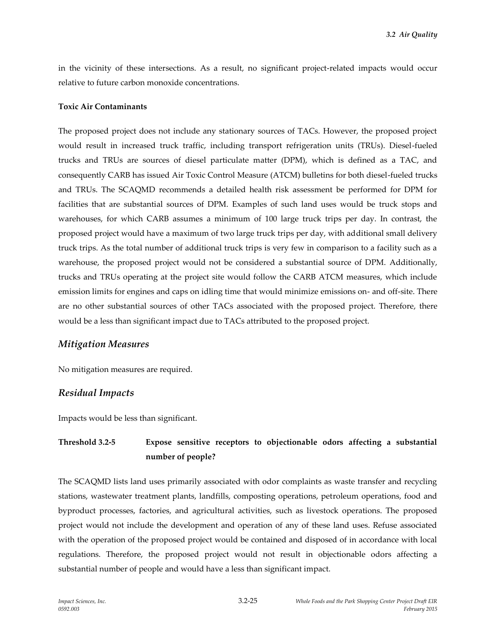in the vicinity of these intersections. As a result, no significant project-related impacts would occur relative to future carbon monoxide concentrations.

#### **Toxic Air Contaminants**

The proposed project does not include any stationary sources of TACs. However, the proposed project would result in increased truck traffic, including transport refrigeration units (TRUs). Diesel-fueled trucks and TRUs are sources of diesel particulate matter (DPM), which is defined as a TAC, and consequently CARB has issued Air Toxic Control Measure (ATCM) bulletins for both diesel-fueled trucks and TRUs. The SCAQMD recommends a detailed health risk assessment be performed for DPM for facilities that are substantial sources of DPM. Examples of such land uses would be truck stops and warehouses, for which CARB assumes a minimum of 100 large truck trips per day. In contrast, the proposed project would have a maximum of two large truck trips per day, with additional small delivery truck trips. As the total number of additional truck trips is very few in comparison to a facility such as a warehouse, the proposed project would not be considered a substantial source of DPM. Additionally, trucks and TRUs operating at the project site would follow the CARB ATCM measures, which include emission limits for engines and caps on idling time that would minimize emissions on- and off-site. There are no other substantial sources of other TACs associated with the proposed project. Therefore, there would be a less than significant impact due to TACs attributed to the proposed project.

### *Mitigation Measures*

No mitigation measures are required.

### *Residual Impacts*

Impacts would be less than significant.

# **Threshold 3.2-5 Expose sensitive receptors to objectionable odors affecting a substantial number of people?**

The SCAQMD lists land uses primarily associated with odor complaints as waste transfer and recycling stations, wastewater treatment plants, landfills, composting operations, petroleum operations, food and byproduct processes, factories, and agricultural activities, such as livestock operations. The proposed project would not include the development and operation of any of these land uses. Refuse associated with the operation of the proposed project would be contained and disposed of in accordance with local regulations. Therefore, the proposed project would not result in objectionable odors affecting a substantial number of people and would have a less than significant impact.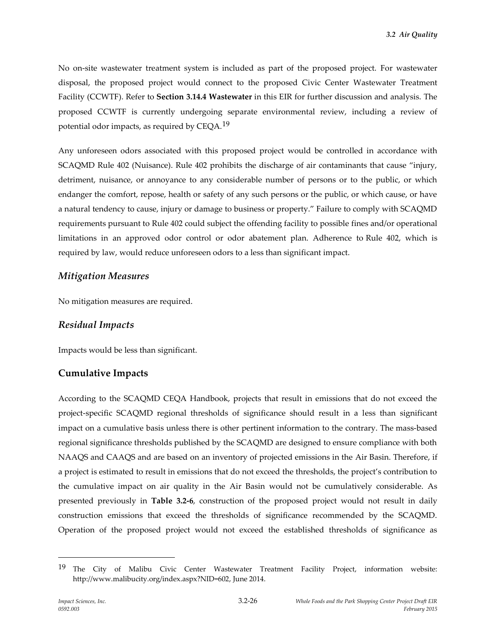No on-site wastewater treatment system is included as part of the proposed project. For wastewater disposal, the proposed project would connect to the proposed Civic Center Wastewater Treatment Facility (CCWTF). Refer to **Section 3.14.4 Wastewater** in this EIR for further discussion and analysis. The proposed CCWTF is currently undergoing separate environmental review, including a review of potential odor impacts, as required by CEQA.19

Any unforeseen odors associated with this proposed project would be controlled in accordance with SCAQMD Rule 402 (Nuisance). Rule 402 prohibits the discharge of air contaminants that cause "injury, detriment, nuisance, or annoyance to any considerable number of persons or to the public, or which endanger the comfort, repose, health or safety of any such persons or the public, or which cause, or have a natural tendency to cause, injury or damage to business or property." Failure to comply with SCAQMD requirements pursuant to Rule 402 could subject the offending facility to possible fines and/or operational limitations in an approved odor control or odor abatement plan. Adherence to Rule 402, which is required by law, would reduce unforeseen odors to a less than significant impact.

## *Mitigation Measures*

No mitigation measures are required.

### *Residual Impacts*

Impacts would be less than significant.

# **Cumulative Impacts**

According to the SCAQMD CEQA Handbook, projects that result in emissions that do not exceed the project-specific SCAQMD regional thresholds of significance should result in a less than significant impact on a cumulative basis unless there is other pertinent information to the contrary. The mass-based regional significance thresholds published by the SCAQMD are designed to ensure compliance with both NAAQS and CAAQS and are based on an inventory of projected emissions in the Air Basin. Therefore, if a project is estimated to result in emissions that do not exceed the thresholds, the project's contribution to the cumulative impact on air quality in the Air Basin would not be cumulatively considerable. As presented previously in **Table 3.2-6**, construction of the proposed project would not result in daily construction emissions that exceed the thresholds of significance recommended by the SCAQMD. Operation of the proposed project would not exceed the established thresholds of significance as

<sup>&</sup>lt;sup>19</sup> The City of Malibu Civic Center Wastewater Treatment Facility Project, information website: http://www.malibucity.org/index.aspx?NID=602, June 2014.